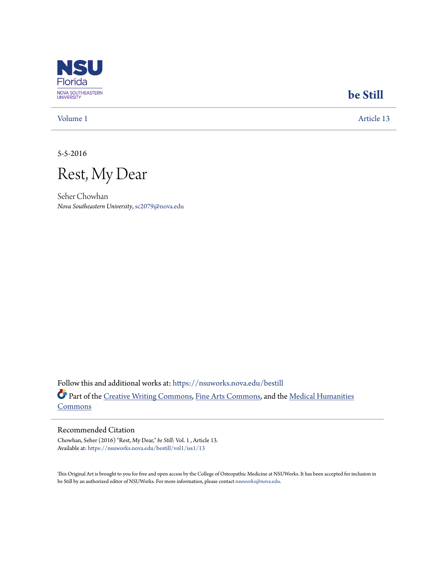

## **[be Still](https://nsuworks.nova.edu/bestill?utm_source=nsuworks.nova.edu%2Fbestill%2Fvol1%2Fiss1%2F13&utm_medium=PDF&utm_campaign=PDFCoverPages)**

[Volume 1](https://nsuworks.nova.edu/bestill/vol1?utm_source=nsuworks.nova.edu%2Fbestill%2Fvol1%2Fiss1%2F13&utm_medium=PDF&utm_campaign=PDFCoverPages) [Article 13](https://nsuworks.nova.edu/bestill/vol1/iss1/13?utm_source=nsuworks.nova.edu%2Fbestill%2Fvol1%2Fiss1%2F13&utm_medium=PDF&utm_campaign=PDFCoverPages)

5-5-2016

Rest, My Dear

Seher Chowhan *Nova Southeastern University*, sc2079@nova.edu

Follow this and additional works at: [https://nsuworks.nova.edu/bestill](https://nsuworks.nova.edu/bestill?utm_source=nsuworks.nova.edu%2Fbestill%2Fvol1%2Fiss1%2F13&utm_medium=PDF&utm_campaign=PDFCoverPages) Part of the [Creative Writing Commons](http://network.bepress.com/hgg/discipline/574?utm_source=nsuworks.nova.edu%2Fbestill%2Fvol1%2Fiss1%2F13&utm_medium=PDF&utm_campaign=PDFCoverPages), [Fine Arts Commons,](http://network.bepress.com/hgg/discipline/1141?utm_source=nsuworks.nova.edu%2Fbestill%2Fvol1%2Fiss1%2F13&utm_medium=PDF&utm_campaign=PDFCoverPages) and the [Medical Humanities](http://network.bepress.com/hgg/discipline/1303?utm_source=nsuworks.nova.edu%2Fbestill%2Fvol1%2Fiss1%2F13&utm_medium=PDF&utm_campaign=PDFCoverPages) [Commons](http://network.bepress.com/hgg/discipline/1303?utm_source=nsuworks.nova.edu%2Fbestill%2Fvol1%2Fiss1%2F13&utm_medium=PDF&utm_campaign=PDFCoverPages)

## Recommended Citation

Chowhan, Seher (2016) "Rest, My Dear," *be Still*: Vol. 1 , Article 13. Available at: [https://nsuworks.nova.edu/bestill/vol1/iss1/13](https://nsuworks.nova.edu/bestill/vol1/iss1/13?utm_source=nsuworks.nova.edu%2Fbestill%2Fvol1%2Fiss1%2F13&utm_medium=PDF&utm_campaign=PDFCoverPages)

This Original Art is brought to you for free and open access by the College of Osteopathic Medicine at NSUWorks. It has been accepted for inclusion in be Still by an authorized editor of NSUWorks. For more information, please contact [nsuworks@nova.edu](mailto:nsuworks@nova.edu).